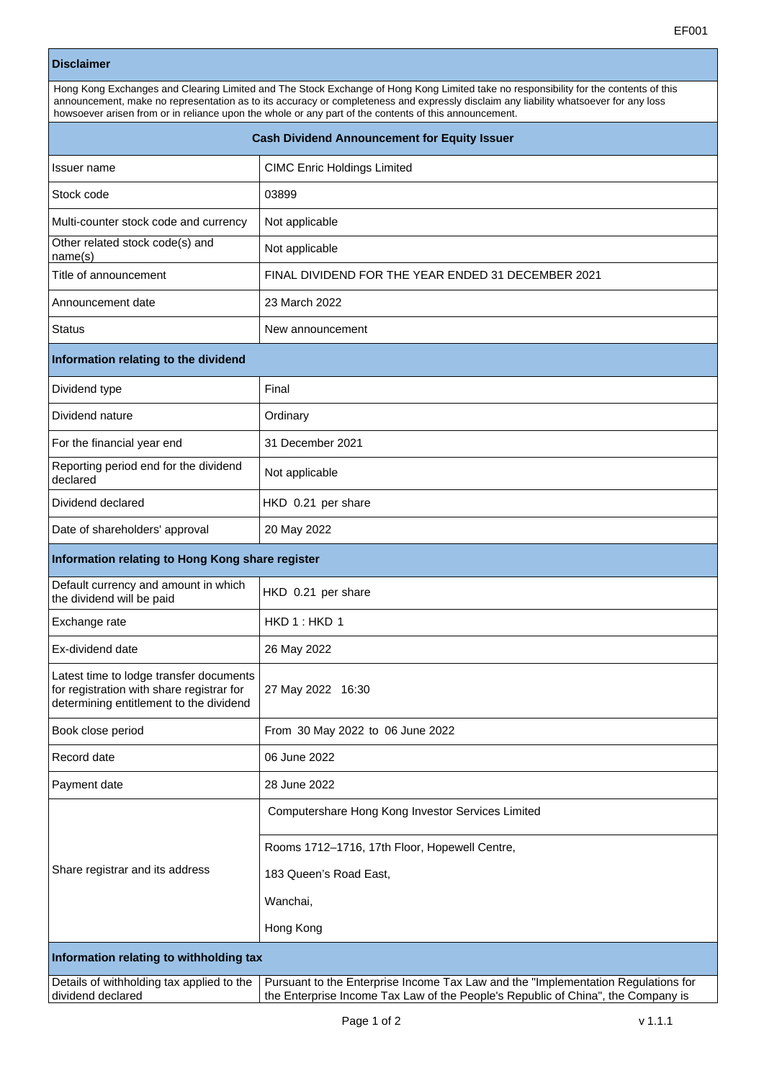## **Disclaimer**

| Hong Kong Exchanges and Clearing Limited and The Stock Exchange of Hong Kong Limited take no responsibility for the contents of this<br>announcement, make no representation as to its accuracy or completeness and expressly disclaim any liability whatsoever for any loss<br>howsoever arisen from or in reliance upon the whole or any part of the contents of this announcement. |                                    |  |  |
|---------------------------------------------------------------------------------------------------------------------------------------------------------------------------------------------------------------------------------------------------------------------------------------------------------------------------------------------------------------------------------------|------------------------------------|--|--|
| <b>Cash Dividend Announcement for Equity Issuer</b>                                                                                                                                                                                                                                                                                                                                   |                                    |  |  |
| Issuer name                                                                                                                                                                                                                                                                                                                                                                           | <b>CIMC Enric Holdings Limited</b> |  |  |

| Stock code                                                                                                                      | 03899                                                                                                                                                                 |  |  |  |
|---------------------------------------------------------------------------------------------------------------------------------|-----------------------------------------------------------------------------------------------------------------------------------------------------------------------|--|--|--|
| Multi-counter stock code and currency                                                                                           | Not applicable                                                                                                                                                        |  |  |  |
| Other related stock code(s) and<br>name(s)                                                                                      | Not applicable                                                                                                                                                        |  |  |  |
| Title of announcement                                                                                                           | FINAL DIVIDEND FOR THE YEAR ENDED 31 DECEMBER 2021                                                                                                                    |  |  |  |
| Announcement date                                                                                                               | 23 March 2022                                                                                                                                                         |  |  |  |
| <b>Status</b>                                                                                                                   | New announcement                                                                                                                                                      |  |  |  |
| Information relating to the dividend                                                                                            |                                                                                                                                                                       |  |  |  |
| Dividend type                                                                                                                   | Final                                                                                                                                                                 |  |  |  |
| Dividend nature                                                                                                                 | Ordinary                                                                                                                                                              |  |  |  |
| For the financial year end                                                                                                      | 31 December 2021                                                                                                                                                      |  |  |  |
| Reporting period end for the dividend<br>declared                                                                               | Not applicable                                                                                                                                                        |  |  |  |
| Dividend declared                                                                                                               | HKD 0.21 per share                                                                                                                                                    |  |  |  |
| Date of shareholders' approval                                                                                                  | 20 May 2022                                                                                                                                                           |  |  |  |
| Information relating to Hong Kong share register                                                                                |                                                                                                                                                                       |  |  |  |
| Default currency and amount in which<br>the dividend will be paid                                                               | HKD 0.21 per share                                                                                                                                                    |  |  |  |
| Exchange rate                                                                                                                   | HKD 1: HKD 1                                                                                                                                                          |  |  |  |
| Ex-dividend date                                                                                                                | 26 May 2022                                                                                                                                                           |  |  |  |
| Latest time to lodge transfer documents<br>for registration with share registrar for<br>determining entitlement to the dividend | 27 May 2022 16:30                                                                                                                                                     |  |  |  |
| Book close period                                                                                                               | From 30 May 2022 to 06 June 2022                                                                                                                                      |  |  |  |
| Record date                                                                                                                     | 06 June 2022                                                                                                                                                          |  |  |  |
| Payment date                                                                                                                    | 28 June 2022                                                                                                                                                          |  |  |  |
|                                                                                                                                 | Computershare Hong Kong Investor Services Limited                                                                                                                     |  |  |  |
|                                                                                                                                 | Rooms 1712-1716, 17th Floor, Hopewell Centre,                                                                                                                         |  |  |  |
| Share registrar and its address                                                                                                 | 183 Queen's Road East,                                                                                                                                                |  |  |  |
|                                                                                                                                 | Wanchai,                                                                                                                                                              |  |  |  |
|                                                                                                                                 | Hong Kong                                                                                                                                                             |  |  |  |
| Information relating to withholding tax                                                                                         |                                                                                                                                                                       |  |  |  |
| Details of withholding tax applied to the<br>dividend declared                                                                  | Pursuant to the Enterprise Income Tax Law and the "Implementation Regulations for<br>the Enterprise Income Tax Law of the People's Republic of China", the Company is |  |  |  |
|                                                                                                                                 |                                                                                                                                                                       |  |  |  |